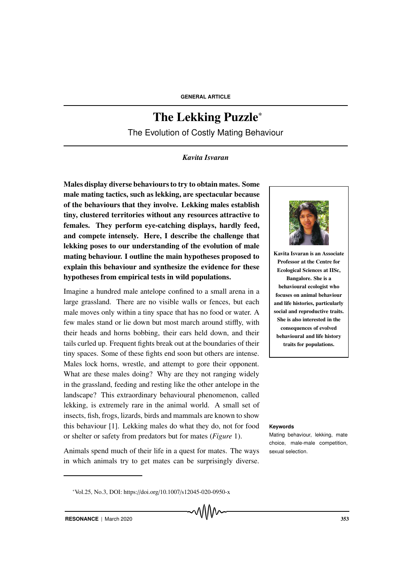# The Lekking Puzzle<sup>∗</sup> The Evolution of Costly Mating Behaviour

# *Kavita Isvaran*

Males display diverse behaviours to try to obtain mates. Some male mating tactics, such as lekking, are spectacular because of the behaviours that they involve. Lekking males establish tiny, clustered territories without any resources attractive to females. They perform eye-catching displays, hardly feed, and compete intensely. Here, I describe the challenge that lekking poses to our understanding of the evolution of male mating behaviour. I outline the main hypotheses proposed to explain this behaviour and synthesize the evidence for these hypotheses from empirical tests in wild populations.

Imagine a hundred male antelope confined to a small arena in a large grassland. There are no visible walls or fences, but each male moves only within a tiny space that has no food or water. A few males stand or lie down but most march around stiffly, with their heads and horns bobbing, their ears held down, and their tails curled up. Frequent fights break out at the boundaries of their tiny spaces. Some of these fights end soon but others are intense. Males lock horns, wrestle, and attempt to gore their opponent. What are these males doing? Why are they not ranging widely in the grassland, feeding and resting like the other antelope in the landscape? This extraordinary behavioural phenomenon, called lekking, is extremely rare in the animal world. A small set of insects, fish, frogs, lizards, birds and mammals are known to show this behaviour [1]. Lekking males do what they do, not for food **Keywords** or shelter or safety from predators but for mates (*Figure* 1).

Animals spend much of their life in a quest for mates. The ways in which animals try to get mates can be surprisingly diverse.



Kavita Isvaran is an Associate Professor at the Centre for Ecological Sciences at IISc, Bangalore. She is a behavioural ecologist who focuses on animal behaviour and life histories, particularly social and reproductive traits. She is also interested in the consequences of evolved behavioural and life history traits for populations.

Mating behaviour, lekking, mate choice, male-male competition, sexual selection.

<sup>∗</sup>Vol.25, No.3, DOI: https://doi.org/10.1007/s12045-020-0950-x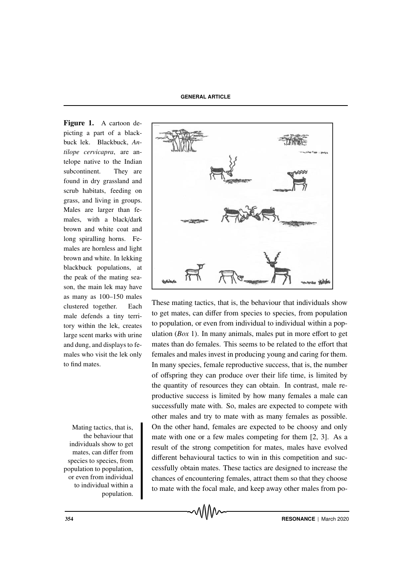Figure 1. A cartoon depicting a part of a blackbuck lek. Blackbuck, *Antilope cervicapra*, are antelope native to the Indian subcontinent. They are found in dry grassland and scrub habitats, feeding on grass, and living in groups. Males are larger than females, with a black/dark brown and white coat and long spiralling horns. Females are hornless and light brown and white. In lekking blackbuck populations, at the peak of the mating season, the main lek may have as many as 100–150 males clustered together. Each male defends a tiny territory within the lek, creates large scent marks with urine and dung, and displays to females who visit the lek only to find mates.

Mating tactics, that is, the behaviour that individuals show to get mates, can differ from species to species, from population to population, or even from individual to individual within a population.



These mating tactics, that is, the behaviour that individuals show to get mates, can differ from species to species, from population to population, or even from individual to individual within a population (*Box* 1). In many animals, males put in more effort to get mates than do females. This seems to be related to the effort that females and males invest in producing young and caring for them. In many species, female reproductive success, that is, the number of offspring they can produce over their life time, is limited by the quantity of resources they can obtain. In contrast, male reproductive success is limited by how many females a male can successfully mate with. So, males are expected to compete with other males and try to mate with as many females as possible. On the other hand, females are expected to be choosy and only mate with one or a few males competing for them [2, 3]. As a result of the strong competition for mates, males have evolved different behavioural tactics to win in this competition and successfully obtain mates. These tactics are designed to increase the chances of encountering females, attract them so that they choose to mate with the focal male, and keep away other males from po-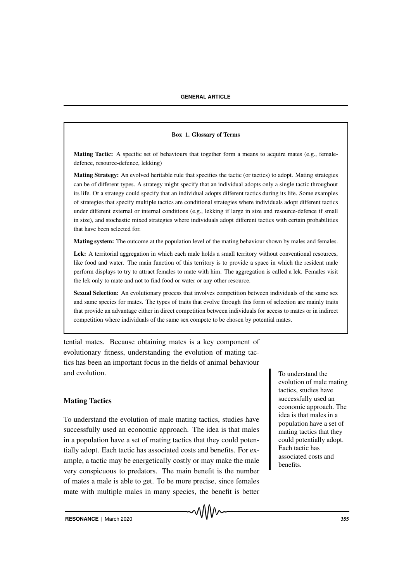#### Box 1. Glossary of Terms

Mating Tactic: A specific set of behaviours that together form a means to acquire mates (e.g., femaledefence, resource-defence, lekking)

Mating Strategy: An evolved heritable rule that specifies the tactic (or tactics) to adopt. Mating strategies can be of different types. A strategy might specify that an individual adopts only a single tactic throughout its life. Or a strategy could specify that an individual adopts different tactics during its life. Some examples of strategies that specify multiple tactics are conditional strategies where individuals adopt different tactics under different external or internal conditions (e.g., lekking if large in size and resource-defence if small in size), and stochastic mixed strategies where individuals adopt different tactics with certain probabilities that have been selected for.

Mating system: The outcome at the population level of the mating behaviour shown by males and females.

Lek: A territorial aggregation in which each male holds a small territory without conventional resources, like food and water. The main function of this territory is to provide a space in which the resident male perform displays to try to attract females to mate with him. The aggregation is called a lek. Females visit the lek only to mate and not to find food or water or any other resource.

Sexual Selection: An evolutionary process that involves competition between individuals of the same sex and same species for mates. The types of traits that evolve through this form of selection are mainly traits that provide an advantage either in direct competition between individuals for access to mates or in indirect competition where individuals of the same sex compete to be chosen by potential mates.

tential mates. Because obtaining mates is a key component of evolutionary fitness, understanding the evolution of mating tactics has been an important focus in the fields of animal behaviour and evolution. To understand the same state of the state of the state of the state of the state of the state of the state of the state of the state of the state of the state of the state of the state of the state of the st

# Mating Tactics

To understand the evolution of male mating tactics, studies have successfully used an economic approach. The idea is that males in a population have a set of mating tactics that they could potentially adopt. Each tactic has associated costs and benefits. For example, a tactic may be energetically costly or may make the male very conspicuous to predators. The main benefit is the number of mates a male is able to get. To be more precise, since females mate with multiple males in many species, the benefit is better

evolution of male mating tactics, studies have successfully used an economic approach. The idea is that males in a population have a set of mating tactics that they could potentially adopt. Each tactic has associated costs and benefits.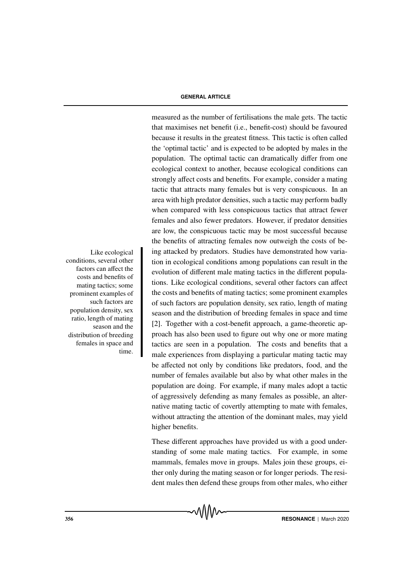measured as the number of fertilisations the male gets. The tactic that maximises net benefit (i.e., benefit-cost) should be favoured because it results in the greatest fitness. This tactic is often called the 'optimal tactic' and is expected to be adopted by males in the population. The optimal tactic can dramatically differ from one ecological context to another, because ecological conditions can strongly affect costs and benefits. For example, consider a mating tactic that attracts many females but is very conspicuous. In an area with high predator densities, such a tactic may perform badly when compared with less conspicuous tactics that attract fewer females and also fewer predators. However, if predator densities are low, the conspicuous tactic may be most successful because the benefits of attracting females now outweigh the costs of be-Like ecological ing attacked by predators. Studies have demonstrated how variation in ecological conditions among populations can result in the evolution of different male mating tactics in the different populations. Like ecological conditions, several other factors can affect the costs and benefits of mating tactics; some prominent examples of such factors are population density, sex ratio, length of mating season and the distribution of breeding females in space and time [2]. Together with a cost-benefit approach, a game-theoretic approach has also been used to figure out why one or more mating tactics are seen in a population. The costs and benefits that a male experiences from displaying a particular mating tactic may be affected not only by conditions like predators, food, and the number of females available but also by what other males in the population are doing. For example, if many males adopt a tactic of aggressively defending as many females as possible, an alternative mating tactic of covertly attempting to mate with females, without attracting the attention of the dominant males, may yield higher benefits.

> These different approaches have provided us with a good understanding of some male mating tactics. For example, in some mammals, females move in groups. Males join these groups, either only during the mating season or for longer periods. The resident males then defend these groups from other males, who either

conditions, several other factors can affect the costs and benefits of mating tactics; some prominent examples of such factors are population density, sex ratio, length of mating season and the distribution of breeding females in space and time.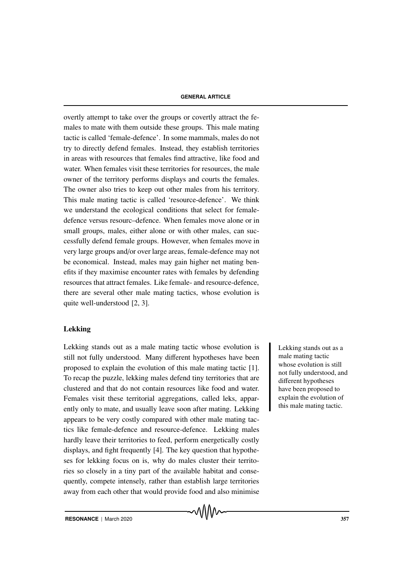overtly attempt to take over the groups or covertly attract the females to mate with them outside these groups. This male mating tactic is called 'female-defence'. In some mammals, males do not try to directly defend females. Instead, they establish territories in areas with resources that females find attractive, like food and water. When females visit these territories for resources, the male owner of the territory performs displays and courts the females. The owner also tries to keep out other males from his territory. This male mating tactic is called 'resource-defence'. We think we understand the ecological conditions that select for femaledefence versus resourc–defence. When females move alone or in small groups, males, either alone or with other males, can successfully defend female groups. However, when females move in very large groups and/or over large areas, female-defence may not be economical. Instead, males may gain higher net mating benefits if they maximise encounter rates with females by defending resources that attract females. Like female- and resource-defence, there are several other male mating tactics, whose evolution is quite well-understood [2, 3].

## Lekking

Lekking stands out as a male mating tactic whose evolution is Lekking stands out as a still not fully understood. Many different hypotheses have been proposed to explain the evolution of this male mating tactic [1]. To recap the puzzle, lekking males defend tiny territories that are clustered and that do not contain resources like food and water. Females visit these territorial aggregations, called leks, apparently only to mate, and usually leave soon after mating. Lekking appears to be very costly compared with other male mating tactics like female-defence and resource-defence. Lekking males hardly leave their territories to feed, perform energetically costly displays, and fight frequently [4]. The key question that hypotheses for lekking focus on is, why do males cluster their territories so closely in a tiny part of the available habitat and consequently, compete intensely, rather than establish large territories away from each other that would provide food and also minimise

male mating tactic whose evolution is still not fully understood, and different hypotheses have been proposed to explain the evolution of this male mating tactic.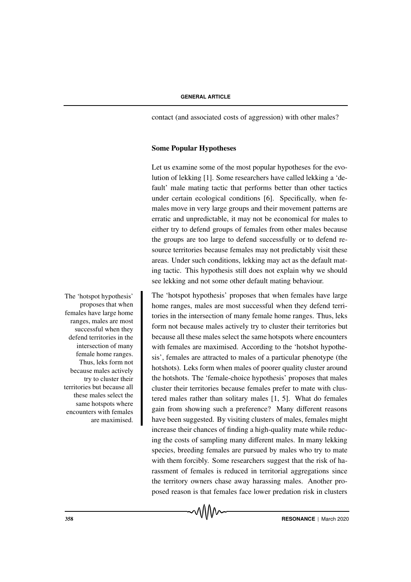contact (and associated costs of aggression) with other males?

# Some Popular Hypotheses

Let us examine some of the most popular hypotheses for the evolution of lekking [1]. Some researchers have called lekking a 'default' male mating tactic that performs better than other tactics under certain ecological conditions [6]. Specifically, when females move in very large groups and their movement patterns are erratic and unpredictable, it may not be economical for males to either try to defend groups of females from other males because the groups are too large to defend successfully or to defend resource territories because females may not predictably visit these areas. Under such conditions, lekking may act as the default mating tactic. This hypothesis still does not explain why we should see lekking and not some other default mating behaviour.

The 'hotspot hypothesis' The 'hotspot hypothesis' proposes that when females have large home ranges, males are most successful when they defend territories in the intersection of many female home ranges. Thus, leks form not because males actively try to cluster their territories but because all these males select the same hotspots where encounters with females are maximised. According to the 'hotshot hypothesis', females are attracted to males of a particular phenotype (the hotshots). Leks form when males of poorer quality cluster around the hotshots. The 'female-choice hypothesis' proposes that males cluster their territories because females prefer to mate with clustered males rather than solitary males [1, 5]. What do females gain from showing such a preference? Many different reasons have been suggested. By visiting clusters of males, females might increase their chances of finding a high-quality mate while reducing the costs of sampling many different males. In many lekking species, breeding females are pursued by males who try to mate with them forcibly. Some researchers suggest that the risk of harassment of females is reduced in territorial aggregations since the territory owners chase away harassing males. Another proposed reason is that females face lower predation risk in clusters

proposes that when females have large home ranges, males are most successful when they defend territories in the intersection of many female home ranges. Thus, leks form not because males actively try to cluster their territories but because all these males select the same hotspots where encounters with females are maximised.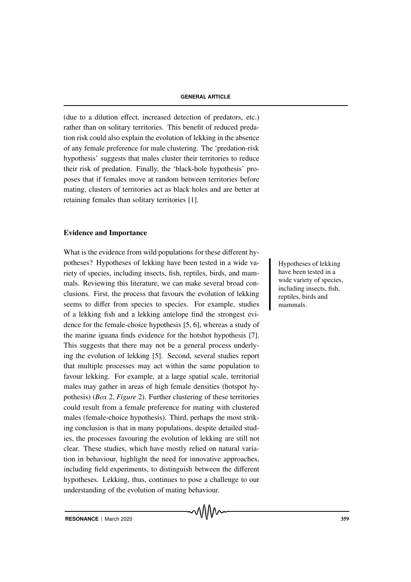(due to a dilution effect, increased detection of predators, etc.) rather than on solitary territories. This benefit of reduced predation risk could also explain the evolution of lekking in the absence of any female preference for male clustering. The 'predation-risk hypothesis' suggests that males cluster their territories to reduce their risk of predation. Finally, the 'black-hole hypothesis' proposes that if females move at random between territories before mating, clusters of territories act as black holes and are better at retaining females than solitary territories [1].

#### Evidence and Importance

What is the evidence from wild populations for these different hypotheses? Hypotheses of lekking have been tested in a wide va-<br>Hypotheses of lekking riety of species, including insects, fish, reptiles, birds, and mammals. Reviewing this literature, we can make several broad conclusions. First, the process that favours the evolution of lekking seems to differ from species to species. For example, studies of a lekking fish and a lekking antelope find the strongest evidence for the female-choice hypothesis [5, 6], whereas a study of the marine iguana finds evidence for the hotshot hypothesis [7]. This suggests that there may not be a general process underlying the evolution of lekking [5]. Second, several studies report that multiple processes may act within the same population to favour lekking. For example, at a large spatial scale, territorial males may gather in areas of high female densities (hotspot hypothesis) (*Box* 2, *Figure* 2). Further clustering of these territories could result from a female preference for mating with clustered males (female-choice hypothesis). Third, perhaps the most striking conclusion is that in many populations, despite detailed studies, the processes favouring the evolution of lekking are still not clear. These studies, which have mostly relied on natural variation in behaviour, highlight the need for innovative approaches, including field experiments, to distinguish between the different hypotheses. Lekking, thus, continues to pose a challenge to our understanding of the evolution of mating behaviour.

have been tested in a wide variety of species, including insects, fish, reptiles, birds and mammals.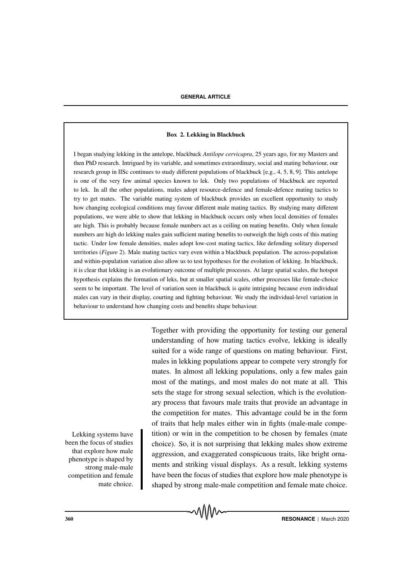#### Box 2. Lekking in Blackbuck

I began studying lekking in the antelope, blackbuck *Antilope cervicapra*, 25 years ago, for my Masters and then PhD research. Intrigued by its variable, and sometimes extraordinary, social and mating behaviour, our research group in IISc continues to study different populations of blackbuck [e.g., 4, 5, 8, 9]. This antelope is one of the very few animal species known to lek. Only two populations of blackbuck are reported to lek. In all the other populations, males adopt resource-defence and female-defence mating tactics to try to get mates. The variable mating system of blackbuck provides an excellent opportunity to study how changing ecological conditions may favour different male mating tactics. By studying many different populations, we were able to show that lekking in blackbuck occurs only when local densities of females are high. This is probably because female numbers act as a ceiling on mating benefits. Only when female numbers are high do lekking males gain sufficient mating benefits to outweigh the high costs of this mating tactic. Under low female densities, males adopt low-cost mating tactics, like defending solitary dispersed territories (*Figure* 2). Male mating tactics vary even within a blackbuck population. The across-population and within-population variation also allow us to test hypotheses for the evolution of lekking. In blackbuck, it is clear that lekking is an evolutionary outcome of multiple processes. At large spatial scales, the hotspot hypothesis explains the formation of leks, but at smaller spatial scales, other processes like female-choice seem to be important. The level of variation seen in blackbuck is quite intriguing because even individual males can vary in their display, courting and fighting behaviour. We study the individual-level variation in behaviour to understand how changing costs and benefits shape behaviour.

Together with providing the opportunity for testing our general understanding of how mating tactics evolve, lekking is ideally suited for a wide range of questions on mating behaviour. First, males in lekking populations appear to compete very strongly for mates. In almost all lekking populations, only a few males gain most of the matings, and most males do not mate at all. This sets the stage for strong sexual selection, which is the evolutionary process that favours male traits that provide an advantage in the competition for mates. This advantage could be in the form of traits that help males either win in fights (male-male compe-Lekking systems have  $\parallel$  tition) or win in the competition to be chosen by females (mate choice). So, it is not surprising that lekking males show extreme aggression, and exaggerated conspicuous traits, like bright ornaments and striking visual displays. As a result, lekking systems have been the focus of studies that explore how male phenotype is shaped by strong male-male competition and female mate choice.

been the focus of studies that explore how male phenotype is shaped by strong male-male competition and female mate choice.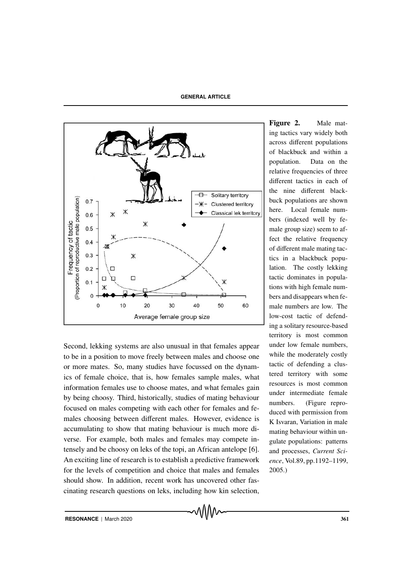

Second, lekking systems are also unusual in that females appear to be in a position to move freely between males and choose one or more mates. So, many studies have focussed on the dynamics of female choice, that is, how females sample males, what information females use to choose mates, and what females gain by being choosy. Third, historically, studies of mating behaviour focused on males competing with each other for females and females choosing between different males. However, evidence is accumulating to show that mating behaviour is much more diverse. For example, both males and females may compete intensely and be choosy on leks of the topi, an African antelope [6]. An exciting line of research is to establish a predictive framework for the levels of competition and choice that males and females should show. In addition, recent work has uncovered other fascinating research questions on leks, including how kin selection,

Figure 2. Male mating tactics vary widely both across different populations of blackbuck and within a population. Data on the relative frequencies of three different tactics in each of the nine different blackbuck populations are shown here. Local female numbers (indexed well by female group size) seem to affect the relative frequency of different male mating tactics in a blackbuck population. The costly lekking tactic dominates in populations with high female numbers and disappears when female numbers are low. The low-cost tactic of defending a solitary resource-based territory is most common under low female numbers, while the moderately costly tactic of defending a clustered territory with some resources is most common under intermediate female numbers. (Figure reproduced with permission from K Isvaran, Variation in male mating behaviour within ungulate populations: patterns and processes, *Current Science*, Vol.89, pp.1192–1199, 2005.)